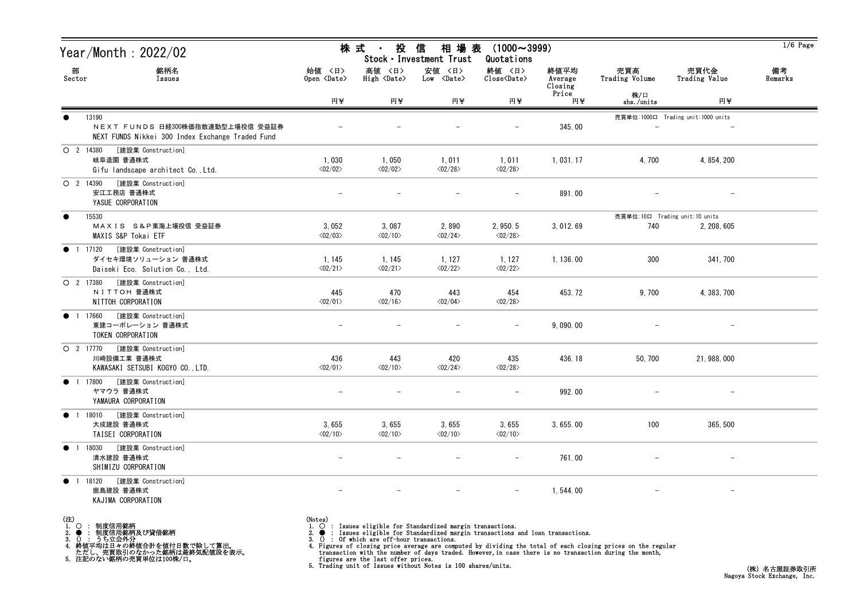| Year/Month : 2022/02                                                                                       |                                   | 株 式<br>投<br>信<br>相 場 表<br>$(1000 \sim 3999)$<br>$\sim$<br>Stock · Investment Trust<br>Quotations |                                   |                                     |                            |                                |                                    |               |  |
|------------------------------------------------------------------------------------------------------------|-----------------------------------|--------------------------------------------------------------------------------------------------|-----------------------------------|-------------------------------------|----------------------------|--------------------------------|------------------------------------|---------------|--|
| 部<br>銘柄名<br>Sector<br>Issues                                                                               | 始値 〈日〉<br>Open <date></date>      | 高値 〈日〉<br>High <date></date>                                                                     | 安値 〈日〉<br>Low <date></date>       | 終値 〈日〉<br>Close <date></date>       | 終値平均<br>Average<br>Closing | 売買高<br>Trading Volume          | 売買代金<br>Trading Value              | 備考<br>Remarks |  |
|                                                                                                            | 円半                                | 円¥                                                                                               | 円半                                | 円半                                  | Price<br>円半                | 株/口<br>shs./units              | 円半                                 |               |  |
| $\bullet$<br>13190<br>NEXT FUNDS 日経300株価指数連動型上場投信 受益証券<br>NEXT FUNDS Nikkei 300 Index Exchange Traded Fund |                                   |                                                                                                  |                                   |                                     | 345.00                     |                                | 売買単位:1000口 Trading unit:1000 units |               |  |
| [建設業 Construction]<br>O 2 14380<br>岐阜造園 普通株式<br>Gifu landscape architect Co., Ltd.                         | 1,030<br>$\langle 02/02 \rangle$  | 1,050<br>$\langle 02/02 \rangle$                                                                 | 1,011<br>$\langle 02/28 \rangle$  | 1,011<br>$\langle 02/28 \rangle$    | 1,031.17                   | 4,700                          | 4, 854, 200                        |               |  |
| O 2 14390<br>[建設業 Construction]<br>安江工務店 普通株式<br>YASUE CORPORATION                                         |                                   |                                                                                                  |                                   |                                     | 891.00                     |                                |                                    |               |  |
| $\bullet$<br>15530                                                                                         |                                   |                                                                                                  |                                   |                                     |                            | 売買単位:10口 Trading unit:10 units |                                    |               |  |
| MAXIS S&P東海上場投信 受益証券<br>MAXIS S&P Tokai ETF                                                                | 3,052<br>$\langle 02/03 \rangle$  | 3,087<br>$\langle 02/10 \rangle$                                                                 | 2,890<br>$\langle 02/24 \rangle$  | 2, 950.5<br>$\langle 02/28 \rangle$ | 3, 012.69                  | 740                            | 2, 208, 605                        |               |  |
| [建設業 Construction]<br>● 1 17120<br>ダイセキ環境ソリューション 普通株式<br>Daiseki Eco. Solution Co., Ltd.                   | 1, 145<br>$\langle 02/21 \rangle$ | 1, 145<br>$\langle 02/21 \rangle$                                                                | 1, 127<br>$\langle 02/22 \rangle$ | 1,127<br>$\langle 02/22 \rangle$    | 1, 136.00                  | 300                            | 341, 700                           |               |  |
| O 2 17380<br>[建設業 Construction]<br>NITTOH 普通株式<br>NITTOH CORPORATION                                       | 445<br>$\langle 02/01 \rangle$    | 470<br>$\langle 02/16 \rangle$                                                                   | 443<br>$\langle 02/04 \rangle$    | 454<br>$\langle 02/28 \rangle$      | 453.72                     | 9,700                          | 4, 383, 700                        |               |  |
| [建設業 Construction]<br>● 1 17660<br>東建コーポレーション 普通株式<br>TOKEN CORPORATION                                    | $\overline{\phantom{0}}$          |                                                                                                  |                                   |                                     | 9,090.00                   |                                |                                    |               |  |
| [建設業 Construction]<br>O 2 17770<br>川崎設備工業 普通株式<br>KAWASAKI SETSUBI KOGYO CO., LTD.                         | 436<br>$\langle 02/01 \rangle$    | 443<br>$\langle 02/10 \rangle$                                                                   | 420<br>$\langle 02/24 \rangle$    | 435<br>$\langle 02/28 \rangle$      | 436.18                     | 50, 700                        | 21, 988, 000                       |               |  |
| [建設業 Construction]<br>● 1 17800<br>ヤマウラ 普通株式<br>YAMAURA CORPORATION                                        |                                   |                                                                                                  |                                   |                                     | 992.00                     |                                |                                    |               |  |
| 1 18010<br>[建設業 Construction]<br>$\bullet$<br>大成建設 普通株式<br>TAISEI CORPORATION                              | 3,655<br>$\langle 02/10 \rangle$  | 3,655<br>$\langle 02/10 \rangle$                                                                 | 3,655<br>$\langle 02/10 \rangle$  | 3,655<br>$\langle 02/10 \rangle$    | 3, 655.00                  | 100                            | 365, 500                           |               |  |
| [建設業 Construction]<br>$\bullet$<br>18030<br>$\overline{1}$<br>清水建設 普通株式<br>SHIMIZU CORPORATION             |                                   |                                                                                                  |                                   |                                     | 761.00                     |                                |                                    |               |  |
| [建設業 Construction]<br>18120<br>$\bullet$<br>$\overline{1}$<br>鹿島建設 普通株式<br>KAJIMA CORPORATION              |                                   |                                                                                                  |                                   | $-$                                 | 1,544.00                   |                                |                                    |               |  |

- (注)<br>1. ○<br>2. ●<br>3. ① 1. ○ : 制度信用銘柄
- 

2. ● : 制度信用銘柄及び貸借銘柄<br>3. () : うち立会外分<br>4. 終値平均は日々の終値合計を値付日数で除して算出。<br>ただし、売買取引のなかった銘柄は最終気配値段を表示。<br>5. 注記のない銘柄の売買単位は100株/口。

(Notes)<br>1. ○ : Issues eligible for Standardized margin transactions.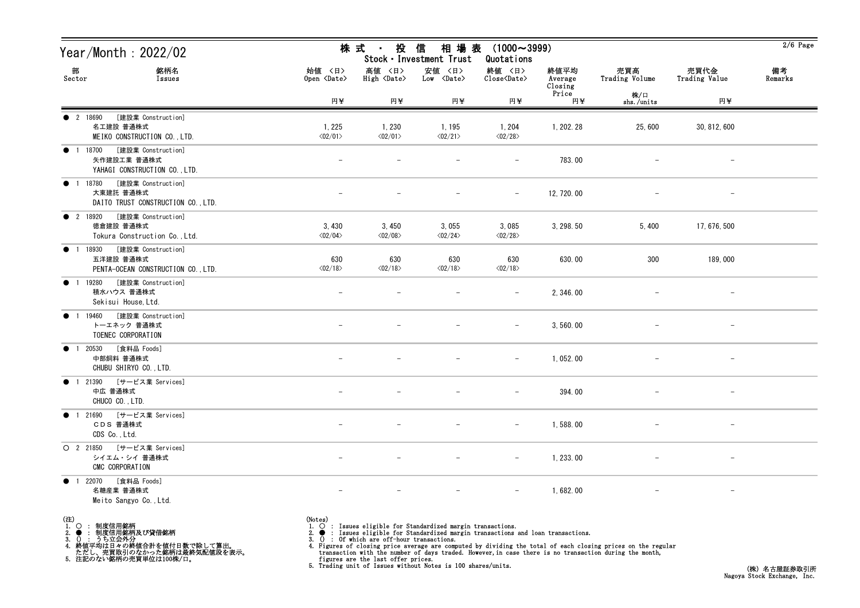| Year/Month : 2022/02                                                                                                                                                    | 株 式<br>投<br>信<br>相 場 表<br>$(1000 \sim 3999)$<br>$\sim$ 10 $\pm$<br>Stock · Investment Trust<br>Quotations |                                                                             |                                                                                                                                                               |                                  |                            |                                                                                                                                                                                                                        |                                 | $2/6$ Page    |
|-------------------------------------------------------------------------------------------------------------------------------------------------------------------------|-----------------------------------------------------------------------------------------------------------|-----------------------------------------------------------------------------|---------------------------------------------------------------------------------------------------------------------------------------------------------------|----------------------------------|----------------------------|------------------------------------------------------------------------------------------------------------------------------------------------------------------------------------------------------------------------|---------------------------------|---------------|
| 部<br>銘柄名<br>Sector<br>Issues                                                                                                                                            | 始値 〈日〉<br>Open <date></date>                                                                              | 高値 〈日〉<br>High <date></date>                                                | 安値 〈日〉<br>$Low \langle Date \rangle$                                                                                                                          | 終値 〈日〉<br>Close <date></date>    | 終値平均<br>Average<br>Closing | 売買高<br>Trading Volume                                                                                                                                                                                                  | 売買代金<br>Trading Value           | 備考<br>Remarks |
|                                                                                                                                                                         | 円半                                                                                                        | 円半                                                                          | 円半                                                                                                                                                            | 円半                               | Price<br>円半                | 株/口<br>shs./units                                                                                                                                                                                                      | 円半                              |               |
| [建設業 Construction]<br><b>2</b> 18690<br>名工建設 普通株式<br>MEIKO CONSTRUCTION CO., LTD.                                                                                       | 1, 225<br>$\langle 02/01 \rangle$                                                                         | 1, 230<br>$\langle 02/01 \rangle$                                           | 1, 195<br>$\langle 02/21 \rangle$                                                                                                                             | 1,204<br>$\langle 02/28 \rangle$ | 1, 202. 28                 | 25,600                                                                                                                                                                                                                 | 30, 812, 600                    |               |
| [建設業 Construction]<br>$\bullet$ 1<br>18700<br>矢作建設工業 普通株式<br>YAHAGI CONSTRUCTION CO., LTD.                                                                              |                                                                                                           |                                                                             |                                                                                                                                                               | $\overline{\phantom{a}}$         | 783.00                     |                                                                                                                                                                                                                        | $\hspace{0.1mm}-\hspace{0.1mm}$ |               |
| [建設業 Construction]<br>• 1 18780<br>大東建託 普通株式<br>DAITO TRUST CONSTRUCTION CO., LTD.                                                                                      |                                                                                                           |                                                                             |                                                                                                                                                               |                                  | 12, 720.00                 |                                                                                                                                                                                                                        |                                 |               |
| <b>2</b> 18920<br>[建設業 Construction]<br>徳倉建設 普通株式<br>Tokura Construction Co., Ltd.                                                                                      | 3,430<br>$\langle 02/04 \rangle$                                                                          | 3,450<br>$\langle 02/08 \rangle$                                            | 3,055<br>$\langle 02/24 \rangle$                                                                                                                              | 3,085<br>$\langle 02/28 \rangle$ | 3, 298.50                  | 5,400                                                                                                                                                                                                                  | 17, 676, 500                    |               |
| [建設業 Construction]<br>18930<br>$\bullet$ 1<br>五洋建設 普通株式<br>PENTA-OCEAN CONSTRUCTION CO., LTD.                                                                           | 630<br>$\langle 02/18 \rangle$                                                                            | 630<br>$\langle 02/18 \rangle$                                              | 630<br>$\langle 02/18 \rangle$                                                                                                                                | 630<br>$\langle 02/18 \rangle$   | 630.00                     | 300                                                                                                                                                                                                                    | 189,000                         |               |
| [建設業 Construction]<br>19280<br>$\bullet$<br>積水ハウス 普通株式<br>Sekisui House, Ltd.                                                                                           |                                                                                                           |                                                                             |                                                                                                                                                               |                                  | 2,346.00                   |                                                                                                                                                                                                                        |                                 |               |
| [建設業 Construction]<br>$\bullet$ 1<br>19460<br>トーエネック 普通株式<br>TOENEC CORPORATION                                                                                         |                                                                                                           |                                                                             |                                                                                                                                                               |                                  | 3,560.00                   |                                                                                                                                                                                                                        | $\overline{\phantom{m}}$        |               |
| [食料品 Foods]<br>● 1 20530<br>中部飼料 普通株式<br>CHUBU SHIRYO CO., LTD.                                                                                                         |                                                                                                           |                                                                             |                                                                                                                                                               |                                  | 1,052.00                   |                                                                                                                                                                                                                        |                                 |               |
| ● 1 21390 [サービス業 Services]<br>中広 普通株式<br>CHUCO CO., LTD.                                                                                                                |                                                                                                           |                                                                             |                                                                                                                                                               | $\overline{\phantom{m}}$         | 394.00                     |                                                                                                                                                                                                                        |                                 |               |
| [サービス業 Services]<br>1 21690<br>$\bullet$<br>CDS 普通株式<br>CDS Co., Ltd.                                                                                                   |                                                                                                           |                                                                             |                                                                                                                                                               |                                  | 1,588.00                   |                                                                                                                                                                                                                        |                                 |               |
| $O$ 2 21850<br>[サービス業 Services]<br>シイエム・シイ 普通株式<br>CMC CORPORATION                                                                                                      |                                                                                                           |                                                                             |                                                                                                                                                               |                                  | 1, 233.00                  |                                                                                                                                                                                                                        |                                 |               |
| [食料品 Foods]<br>● 1 22070<br>名糖産業 普通株式<br>Meito Sangyo Co., Ltd.                                                                                                         |                                                                                                           |                                                                             |                                                                                                                                                               |                                  | 1,682.00                   |                                                                                                                                                                                                                        |                                 |               |
| (注)<br>1.<br>$\circ$<br>制度信用銘柄<br>1. ) ・ FB受信用銘柄及び貸借銘柄<br>3. ● : 制度信用銘柄及び貸借銘柄<br>4. 終値平均は日々の終値合計を値付日数で除して算出。<br>・ ただし、売買取引のなかった銘柄は最終気配値段を表示。<br>5. 注記のない銘柄の売買単位は100株/口。 | (Notes)<br>$\Omega$<br>3.                                                                                 | : Of which are off-hour transactions.<br>figures are the last offer prices. | $\overrightarrow{O}$ : Issues eligible for Standardized margin transactions.<br>: Issues eligible for Standardized margin transactions and loan transactions. |                                  |                            | 4. Figures of closing price average are computed by dividing the total of each closing prices on the regular<br>transaction with the number of days traded. However, in case there is no transaction during the month, |                                 |               |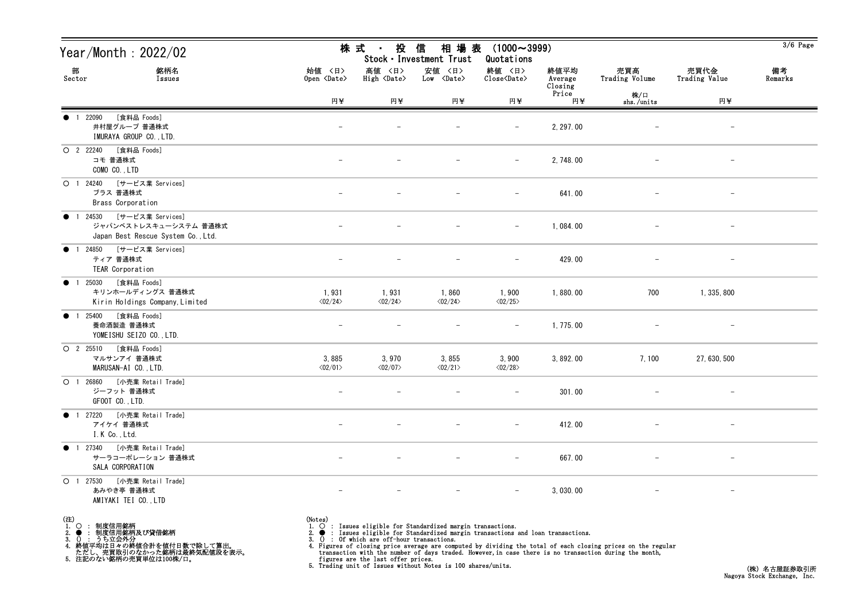| Year/Month: 2022/02                                                                               | 株 式<br>投<br>信<br>相 場 表<br>$(1000 \sim 3999)$<br>$\blacksquare$<br>Stock · Investment Trust<br>Quotations |                                  |                                      |                                                    |                            |                          |                          |               |
|---------------------------------------------------------------------------------------------------|----------------------------------------------------------------------------------------------------------|----------------------------------|--------------------------------------|----------------------------------------------------|----------------------------|--------------------------|--------------------------|---------------|
| 部<br>銘柄名<br>Sector<br>Issues                                                                      | 始値 〈日〉<br>Open <date></date>                                                                             | 高値 〈日〉<br>High <date></date>     | 安値 〈日〉<br>$Low \langle Date \rangle$ | 終値 〈日〉<br>$\text{Close}\langle \text{Date}\rangle$ | 終値平均<br>Average<br>Closing | 売買高<br>Trading Volume    | 売買代金<br>Trading Value    | 備考<br>Remarks |
|                                                                                                   | 円半                                                                                                       | 円半                               | 円半                                   | 円半                                                 | Price<br>円半                | 株/口<br>shs./units        | 円半                       |               |
| [食料品 Foods]<br>● 1 22090<br>井村屋グループ 普通株式<br>IMURAYA GROUP CO., LTD.                               |                                                                                                          |                                  |                                      | $\overline{\phantom{m}}$                           | 2, 297.00                  |                          | $\overline{\phantom{a}}$ |               |
| [食料品 Foods]<br>O 2 22240<br>コモ 普通株式<br>COMO CO., LTD                                              |                                                                                                          |                                  |                                      | $-$                                                | 2, 748.00                  | $\overline{\phantom{m}}$ | $-$                      |               |
| [サービス業 Services]<br>O 1 24240<br>ブラス 普通株式<br>Brass Corporation                                    |                                                                                                          |                                  |                                      |                                                    | 641.00                     |                          |                          |               |
| [サービス業 Services]<br><b>1</b> 24530<br>ジャパンベストレスキューシステム 普通株式<br>Japan Best Rescue System Co., Ltd. |                                                                                                          |                                  |                                      | $\overline{\phantom{m}}$                           | 1,084.00                   |                          |                          |               |
| [サービス業 Services]<br>● 1 24850<br>ティア 普通株式<br>TEAR Corporation                                     |                                                                                                          |                                  |                                      | $\overline{\phantom{m}}$                           | 429.00                     |                          | $\overline{\phantom{m}}$ |               |
| [食料品 Foods]<br>1 25030<br>$\bullet$<br>キリンホールディングス 普通株式<br>Kirin Holdings Company, Limited        | 1,931<br>$\langle 02/24 \rangle$                                                                         | 1,931<br>$\langle 02/24 \rangle$ | 1,860<br>$\langle 02/24 \rangle$     | 1,900<br>$\langle 02/25 \rangle$                   | 1,880.00                   | 700                      | 1, 335, 800              |               |
| [食料品 Foods]<br><b>1</b> 25400<br>養命酒製造 普通株式<br>YOMEISHU SEIZO CO., LTD.                           | $\overline{\phantom{m}}$                                                                                 |                                  |                                      | $-$                                                | 1, 775.00                  |                          | $\overline{\phantom{m}}$ |               |
| [食料品 Foods]<br>$O$ 2 25510<br>マルサンアイ 普通株式<br>MARUSAN-AI CO., LTD.                                 | 3,885<br>$\langle 02/01 \rangle$                                                                         | 3,970<br>$\langle 02/07 \rangle$ | 3,855<br>$\langle 02/21 \rangle$     | 3,900<br>$\langle 02/28 \rangle$                   | 3, 892.00                  | 7,100                    | 27, 630, 500             |               |
| O 1 26860 [小売業 Retail Trade]<br>ジーフット 普通株式<br>GFOOT CO., LTD.                                     |                                                                                                          |                                  |                                      |                                                    | 301.00                     |                          | $-$                      |               |
| ● 1 27220 [小売業 Retail Trade]<br>アイケイ 普通株式<br>I.K Co., Ltd.                                        | $-$                                                                                                      |                                  | $\qquad \qquad -$                    | $-$                                                | 412.00                     | $-$                      | $ \,$                    |               |
| 1 27340 [小売業 Retail Trade]<br>$\bullet$<br>サーラコーポレーション 普通株式<br>SALA CORPORATION                   |                                                                                                          |                                  |                                      |                                                    | 667.00                     |                          |                          |               |
| 〇 1 27530 [小売業 Retail Trade]<br>あみやき亭 普通株式<br>AMIYAKI TEI CO., LTD                                |                                                                                                          |                                  |                                      | $-$                                                | 3, 030.00                  |                          |                          |               |

- (注)<br>1. ○<br>2. ●<br>3. ① 1. ○ : 制度信用銘柄
- 

2. ● : 制度信用銘柄及び貸借銘柄<br>3. () : うち立会外分<br>4. 終値平均は日々の終値合計を値付日数で除して算出。<br>ただし、売買取引のなかった銘柄は最終気配値段を表示。<br>5. 注記のない銘柄の売買単位は100株/口。

(Notes)<br>1. ○ : Issues eligible for Standardized margin transactions.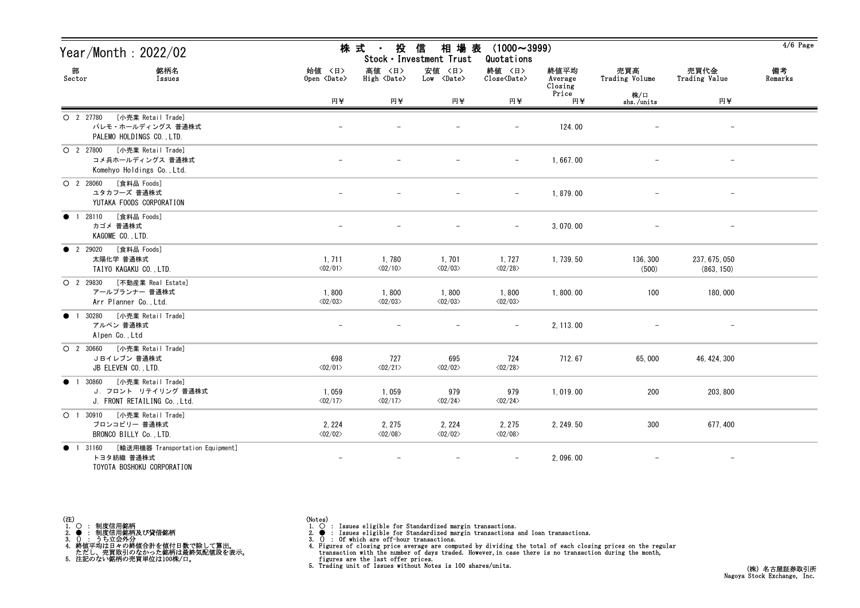| Year/Month: 2022/02                                                                                  | 相場表<br>株 式<br>投<br>信<br>$(1000 \sim 3999)$<br>$\sim 100$<br>Stock · Investment Trust<br>Quotations |                                       |                                   |                                   |                            |                       |                             |               |
|------------------------------------------------------------------------------------------------------|----------------------------------------------------------------------------------------------------|---------------------------------------|-----------------------------------|-----------------------------------|----------------------------|-----------------------|-----------------------------|---------------|
| 部<br>銘柄名<br>Sector<br>Issues                                                                         | 始值 〈日〉<br>Open <date></date>                                                                       | 高値 〈日〉<br>$High \langle Date \rangle$ | 安値 〈日〉<br>$Low \leq 0ate$         | 終値 〈日〉<br>Close <date></date>     | 終値平均<br>Average<br>Closing | 売買高<br>Trading Volume | 売買代金<br>Trading Value       | 備考<br>Remarks |
|                                                                                                      | 円半                                                                                                 | 円半                                    | 円半                                | 円半                                | Price<br>円半                | 株/口<br>shs./units     | 円半                          |               |
| [小売業 Retail Trade]<br>$O$ 2 27780<br>パレモ・ホールディングス 普通株式<br>PALEMO HOLDINGS CO., LTD.                  |                                                                                                    |                                       |                                   | $\overline{\phantom{m}}$          | 124.00                     |                       |                             |               |
| [小売業 Retail Trade]<br>O 2 27800<br>コメ兵ホールディングス 普通株式<br>Komehyo Holdings Co., Ltd.                    |                                                                                                    |                                       |                                   | $\overline{\phantom{a}}$          | 1,667.00                   |                       |                             |               |
| [食料品 Foods]<br>$O$ 2 28060<br>ユタカフーズ 普通株式<br>YUTAKA FOODS CORPORATION                                |                                                                                                    |                                       |                                   | $\overline{\phantom{a}}$          | 1,879.00                   |                       |                             |               |
| [食料品 Foods]<br>1 28110<br>$\bullet$<br>カゴメ 普通株式<br>KAGOME CO., LTD.                                  |                                                                                                    |                                       |                                   | $\overline{\phantom{m}}$          | 3,070.00                   |                       |                             |               |
| [食料品 Foods]<br><b>2</b> 29020<br>太陽化学 普通株式<br>TAIYO KAGAKU CO., LTD.                                 | 1, 711<br>$\langle 02/01 \rangle$                                                                  | 1,780<br>$\langle 02/10 \rangle$      | 1,701<br>$\langle 02/03 \rangle$  | 1,727<br>$\langle 02/28 \rangle$  | 1, 739.50                  | 136, 300<br>(500)     | 237, 675, 050<br>(863, 150) |               |
| $O$ 2 29830<br>[不動産業 Real Estate]<br>アールプランナー 普通株式<br>Arr Planner Co., Ltd.                          | 1,800<br>$\langle 02/03 \rangle$                                                                   | 1,800<br>$\langle 02/03 \rangle$      | 1,800<br>$<02/03>$                | 1,800<br>$\langle 02/03 \rangle$  | 1,800.00                   | 100                   | 180,000                     |               |
| [小売業 Retail Trade]<br>30280<br>$\bullet$<br>アルペン 普通株式<br>Alpen Co., Ltd                              |                                                                                                    |                                       |                                   |                                   | 2, 113.00                  |                       |                             |               |
| $O$ 2 30660<br>[小売業 Retail Trade]<br>JBイレブン 普通株式<br>JB ELEVEN CO., LTD.                              | 698<br>$\langle 02/01 \rangle$                                                                     | 727<br>$\langle 02/21 \rangle$        | 695<br>$\langle 02/02 \rangle$    | 724<br>$\langle 02/28 \rangle$    | 712.67                     | 65,000                | 46, 424, 300                |               |
| [小売業 Retail Trade]<br>• 1 30860<br>J. フロント リテイリング 普通株式<br>J. FRONT RETAILING Co., Ltd.               | 1,059<br>$\langle 02/17 \rangle$                                                                   | 1,059<br>$\langle 02/17 \rangle$      | 979<br>$\langle 02/24 \rangle$    | 979<br>$\langle 02/24 \rangle$    | 1,019.00                   | 200                   | 203, 800                    |               |
| [小売業 Retail Trade]<br>$O$ 1 30910<br>ブロンコビリー 普通株式<br>BRONCO BILLY Co., LTD.                          | 2, 224<br>$\langle 02/02 \rangle$                                                                  | 2, 275<br>$\langle 02/08 \rangle$     | 2, 224<br>$\langle 02/02 \rangle$ | 2, 275<br>$\langle 02/08 \rangle$ | 2, 249.50                  | 300                   | 677, 400                    |               |
| [輸送用機器 Transportation Equipment]<br>1 31160<br>$\bullet$<br>トヨタ紡織 普通株式<br>TOYOTA BOSHOKU CORPORATION |                                                                                                    |                                       |                                   |                                   | 2,096.00                   |                       |                             |               |



(Notes)<br>1. ○ : Issues eligible for Standardized margin transactions.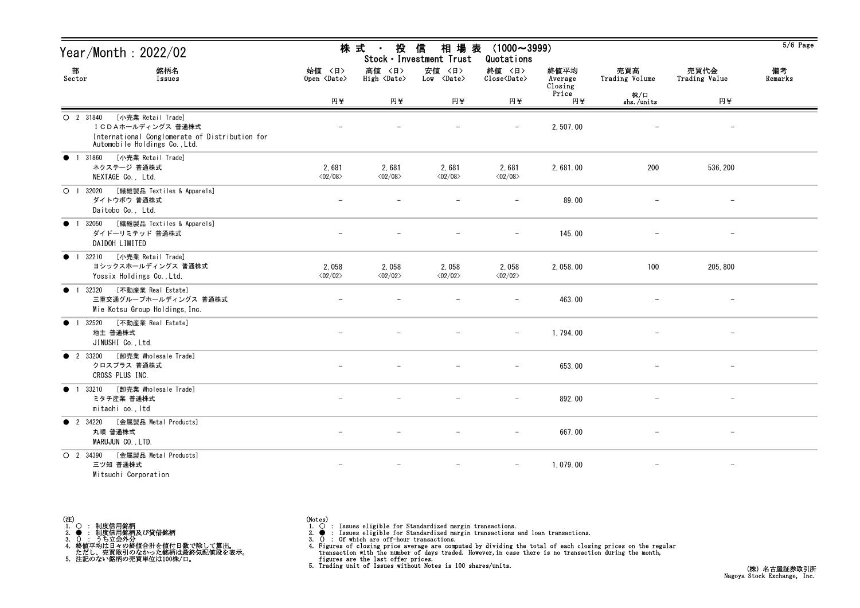| Year/Month : 2022/02                                                                                                                    | 株式<br>投<br>相場表<br>信<br>$(1000 \sim 3999)$<br>$\blacksquare$<br>Stock · Investment Trust<br>Quotations |                                  |                                      |                                                    |                            |                          |                          |               |
|-----------------------------------------------------------------------------------------------------------------------------------------|-------------------------------------------------------------------------------------------------------|----------------------------------|--------------------------------------|----------------------------------------------------|----------------------------|--------------------------|--------------------------|---------------|
| 部<br>銘柄名<br>Sector<br>Issues                                                                                                            | 始値 〈日〉<br>Open <date></date>                                                                          | 高値<br>〈日〉<br>High <date></date>  | 安値 〈日〉<br>$Low \langle Date \rangle$ | 終値 〈日〉<br>$\text{Close}\langle \text{Date}\rangle$ | 終値平均<br>Average<br>Closing | 売買高<br>Trading Volume    | 売買代金<br>Trading Value    | 備考<br>Remarks |
|                                                                                                                                         | 円半                                                                                                    | 円半                               | 円半                                   | 円半                                                 | Price<br>円半                | 株/口<br>shs./units        | 円半                       |               |
| [小売業 Retail Trade]<br>O 2 31840<br>ICDAホールディングス 普通株式<br>International Conglomerate of Distribution for<br>Automobile Holdings Co., Ltd. |                                                                                                       |                                  |                                      |                                                    | 2,507.00                   |                          | $\overline{\phantom{m}}$ |               |
| [小売業 Retail Trade]<br>31860<br>$\bullet$ 1<br>ネクステージ 普通株式<br>NEXTAGE Co., Ltd.                                                          | 2,681<br>$\langle 02/08 \rangle$                                                                      | 2,681<br>$\langle 02/08 \rangle$ | 2,681<br>$\langle 02/08 \rangle$     | 2,681<br>$\langle 02/08 \rangle$                   | 2,681.00                   | 200                      | 536, 200                 |               |
| [繊維製品 Textiles & Apparels]<br>O <sub>1</sub><br>32020<br>ダイトウボウ 普通株式<br>Daitobo Co., Ltd.                                               | $\overline{\phantom{m}}$                                                                              | $\overline{\phantom{0}}$         |                                      | $\overline{\phantom{m}}$                           | 89.00                      | $\overline{\phantom{0}}$ | $\overline{\phantom{a}}$ |               |
| [繊維製品 Textiles & Apparels]<br>32050<br>$\bullet$<br>ダイドーリミテッド 普通株式<br>DAIDOH LIMITED                                                    |                                                                                                       |                                  |                                      |                                                    | 145.00                     |                          |                          |               |
| [小売業 Retail Trade]<br>32210<br>$\bullet$ 1<br>ヨシックスホールディングス 普通株式<br>Yossix Holdings Co., Ltd.                                           | 2,058<br>$\langle 02/02 \rangle$                                                                      | 2,058<br>$\langle 02/02 \rangle$ | 2,058<br>$\langle 02/02 \rangle$     | 2,058<br>$\langle 02/02 \rangle$                   | 2, 058.00                  | 100                      | 205, 800                 |               |
| [不動産業 Real Estate]<br>32320<br>$\bullet$ 1<br>三重交通グループホールディングス 普通株式<br>Mie Kotsu Group Holdings, Inc.                                   |                                                                                                       |                                  |                                      |                                                    | 463.00                     |                          | $\overline{\phantom{m}}$ |               |
| [不動産業 Real Estate]<br>32520<br>$\bullet$<br>地主 普通株式<br>JINUSHI Co., Ltd.                                                                |                                                                                                       |                                  |                                      | $\overline{\phantom{m}}$                           | 1,794.00                   |                          | $\qquad \qquad -$        |               |
| [卸売業 Wholesale Trade]<br><b>2</b> 33200<br>クロスプラス 普通株式<br>CROSS PLUS INC.                                                               | $\overline{\phantom{0}}$                                                                              | $\qquad \qquad -$                |                                      | $\overline{\phantom{m}}$                           | 653.00                     |                          | $\overline{\phantom{m}}$ |               |
| 33210<br>[卸売業 Wholesale Trade]<br>$\bullet$<br>ミタチ産業 普通株式<br>mitachi co., Itd                                                           |                                                                                                       |                                  |                                      |                                                    | 892.00                     |                          | $\qquad \qquad -$        |               |
| [金属製品 Metal Products]<br><b>2</b> 34220<br>丸順 普通株式<br>MARUJUN CO., LTD.                                                                 |                                                                                                       |                                  |                                      | $-$                                                | 667.00                     |                          |                          |               |
| [金属製品 Metal Products]<br>O 2 34390<br>三ツ知 普通株式<br>Mitsuchi Corporation                                                                  | $\overline{\phantom{0}}$                                                                              | $\overline{\phantom{m}}$         |                                      | $\overline{\phantom{m}}$                           | 1,079.00                   | $\overline{\phantom{0}}$ | $-$                      |               |

| (注) |  |                            |  |
|-----|--|----------------------------|--|
|     |  | 制度信用銘柄                     |  |
|     |  | 制度信用銘柄及び貸借銘柄               |  |
|     |  | うち立会外分                     |  |
|     |  | 終値平均は日々の終値合計を値付日数で除して算出。   |  |
|     |  | ただし、売買取引のなかった銘柄は最終気配値段を表示。 |  |
|     |  | 注記のない銘柄の売買単位は100株/口。       |  |

(Notes)<br>1. ○ : Issues eligible for Standardized margin transactions.